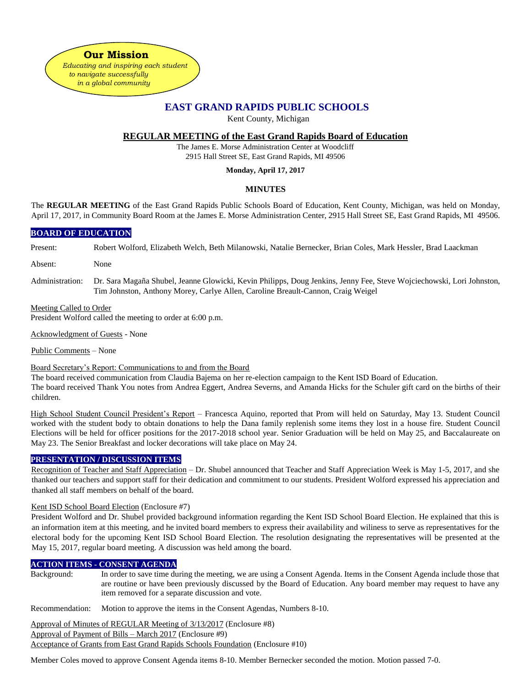*in a global community*

# **EAST GRAND RAPIDS PUBLIC SCHOOLS**

Kent County, Michigan

# **REGULAR MEETING of the East Grand Rapids Board of Education**

The James E. Morse Administration Center at Woodcliff 2915 Hall Street SE, East Grand Rapids, MI 49506

### **Monday, April 17, 2017**

## **MINUTES**

The **REGULAR MEETING** of the East Grand Rapids Public Schools Board of Education, Kent County, Michigan, was held on Monday, April 17, 2017, in Community Board Room at the James E. Morse Administration Center, 2915 Hall Street SE, East Grand Rapids, MI 49506.

### **BOARD OF EDUCATION**

Present: Robert Wolford, Elizabeth Welch, Beth Milanowski, Natalie Bernecker, Brian Coles, Mark Hessler, Brad Laackman

Absent: None

Administration: Dr. Sara Magaña Shubel, Jeanne Glowicki, Kevin Philipps, Doug Jenkins, Jenny Fee, Steve Wojciechowski, Lori Johnston, Tim Johnston, Anthony Morey, Carlye Allen, Caroline Breault-Cannon, Craig Weigel

### Meeting Called to Order

President Wolford called the meeting to order at 6:00 p.m.

Acknowledgment of Guests - None

Public Comments – None

### Board Secretary's Report: Communications to and from the Board

The board received communication from Claudia Bajema on her re-election campaign to the Kent ISD Board of Education.

The board received Thank You notes from Andrea Eggert, Andrea Severns, and Amanda Hicks for the Schuler gift card on the births of their children.

High School Student Council President's Report – Francesca Aquino, reported that Prom will held on Saturday, May 13. Student Council worked with the student body to obtain donations to help the Dana family replenish some items they lost in a house fire. Student Council Elections will be held for officer positions for the 2017-2018 school year. Senior Graduation will be held on May 25, and Baccalaureate on May 23. The Senior Breakfast and locker decorations will take place on May 24.

### **PRESENTATION / DISCUSSION ITEMS**

Recognition of Teacher and Staff Appreciation – Dr. Shubel announced that Teacher and Staff Appreciation Week is May 1-5, 2017, and she thanked our teachers and support staff for their dedication and commitment to our students. President Wolford expressed his appreciation and thanked all staff members on behalf of the board.

### Kent ISD School Board Election (Enclosure #7)

President Wolford and Dr. Shubel provided background information regarding the Kent ISD School Board Election. He explained that this is an information item at this meeting, and he invited board members to express their availability and wiliness to serve as representatives for the electoral body for the upcoming Kent ISD School Board Election. The resolution designating the representatives will be presented at the May 15, 2017, regular board meeting. A discussion was held among the board.

### **ACTION ITEMS - CONSENT AGENDA**

Background: In order to save time during the meeting, we are using a Consent Agenda. Items in the Consent Agenda include those that are routine or have been previously discussed by the Board of Education. Any board member may request to have any item removed for a separate discussion and vote.

Recommendation: Motion to approve the items in the Consent Agendas, Numbers 8-10.

Approval of Minutes of REGULAR Meeting of 3/13/2017 (Enclosure #8)

Approval of Payment of Bills – March 2017 (Enclosure #9)

Acceptance of Grants from East Grand Rapids Schools Foundation (Enclosure #10)

Member Coles moved to approve Consent Agenda items 8-10. Member Bernecker seconded the motion. Motion passed 7-0.